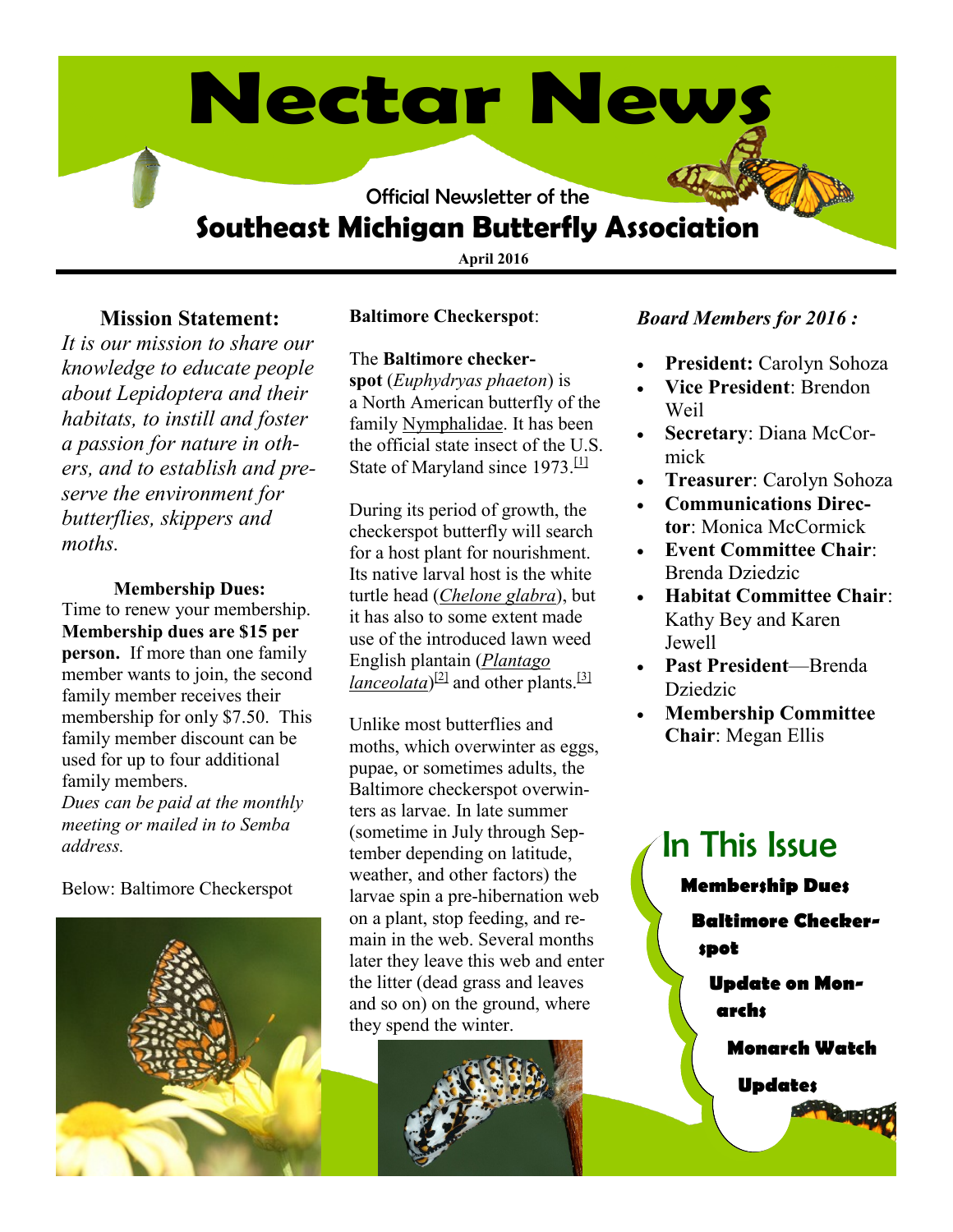# **Nectar News**

Official Newsletter of the

# **Southeast Michigan Butterfly Association**

**April 2016**

#### **Mission Statement:**

*It is our mission to share our knowledge to educate people about Lepidoptera and their habitats, to instill and foster a passion for nature in others, and to establish and preserve the environment for butterflies, skippers and moths.* 

#### **Membership Dues:**

Time to renew your membership. **Membership dues are \$15 per person.** If more than one family member wants to join, the second family member receives their membership for only \$7.50. This family member discount can be used for up to four additional family members. *Dues can be paid at the monthly meeting or mailed in to Semba address.*

Below: Baltimore Checkerspot



#### **Baltimore Checkerspot**:

#### The **Baltimore checker-**

**spot** (*Euphydryas phaeton*) is a North American butterfly of the family [Nymphalidae.](https://en.wikipedia.org/wiki/Nymphalidae) It has been the official state insect of the U.S. State of Maryland since 1973.<sup>[\[1\]](https://en.wikipedia.org/wiki/Baltimore_checkerspot#cite_note-1)</sup>

During its period of growth, the checkerspot butterfly will search for a host plant for nourishment. Its native larval host is the white turtle head (*[Chelone glabra](https://en.wikipedia.org/wiki/Chelone_glabra)*), but it has also to some extent made use of the introduced lawn weed English plantain (*[Plantago](https://en.wikipedia.org/wiki/Plantago_lanceolata)  [lanceolata](https://en.wikipedia.org/wiki/Plantago_lanceolata)*)<sup>[\[2\]](https://en.wikipedia.org/wiki/Baltimore_checkerspot#cite_note-2)</sup> and other plants.<sup>[\[3\]](https://en.wikipedia.org/wiki/Baltimore_checkerspot#cite_note-3)</sup>

Unlike most butterflies and moths, which overwinter as eggs, pupae, or sometimes adults, the Baltimore checkerspot overwinters as larvae. In late summer (sometime in July through September depending on latitude, weather, and other factors) the larvae spin a pre-hibernation web on a plant, stop feeding, and remain in the web. Several months later they leave this web and enter the litter (dead grass and leaves and so on) on the ground, where they spend the winter.



#### *Board Members for 2016 :*

- **President:** Carolyn Sohoza
- **Vice President**: Brendon Weil
- **Secretary**: Diana McCormick
- **Treasurer**: Carolyn Sohoza
- **Communications Director**: Monica McCormick
- **Event Committee Chair**: Brenda Dziedzic
- **Habitat Committee Chair**: Kathy Bey and Karen Jewell
- **Past President**—Brenda Dziedzic
- **Membership Committee Chair**: Megan Ellis

# In This Issue

**Membership Dues**

**Baltimore Checkerspot**

**Update on Monarchs**

**Monarch Watch**

**Updates**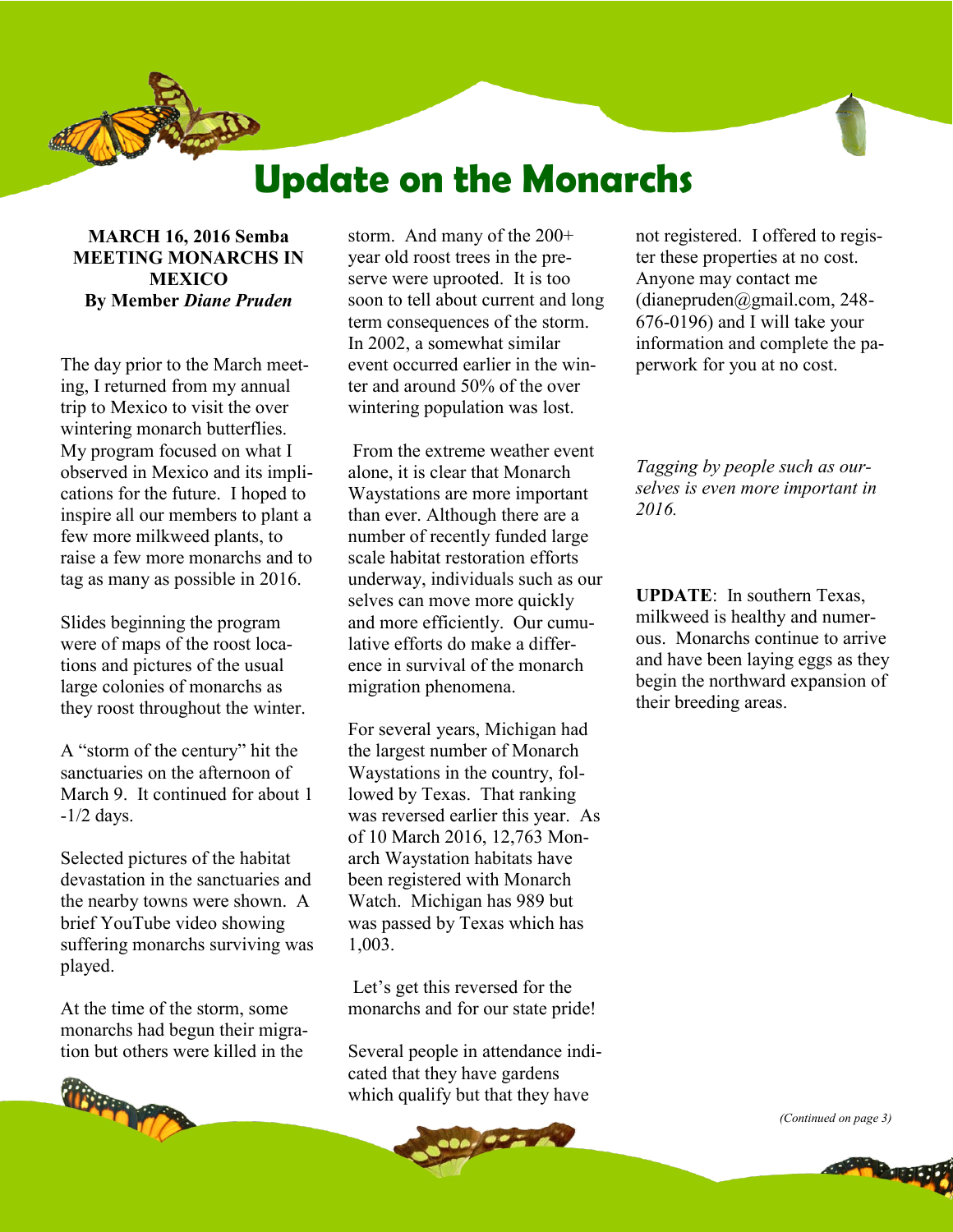

# **Update on the Monarchs**

**MARCH 16, 2016 Semba MEETING MONARCHS IN MEXICO By Member** *Diane Pruden*

The day prior to the March meeting, I returned from my annual trip to Mexico to visit the over wintering monarch butterflies. My program focused on what I observed in Mexico and its implications for the future. I hoped to inspire all our members to plant a few more milkweed plants, to raise a few more monarchs and to tag as many as possible in 2016.

Slides beginning the program were of maps of the roost locations and pictures of the usual large colonies of monarchs as they roost throughout the winter.

A "storm of the century" hit the sanctuaries on the afternoon of March 9 It continued for about 1  $-1/2$  days.

Selected pictures of the habitat devastation in the sanctuaries and the nearby towns were shown. A brief YouTube video showing suffering monarchs surviving was played.

At the time of the storm, some monarchs had begun their migration but others were killed in the



storm. And many of the 200+ year old roost trees in the preserve were uprooted. It is too soon to tell about current and long term consequences of the storm. In 2002, a somewhat similar event occurred earlier in the winter and around 50% of the over wintering population was lost.

From the extreme weather event alone, it is clear that Monarch Waystations are more important than ever. Although there are a number of recently funded large scale habitat restoration efforts underway, individuals such as our selves can move more quickly and more efficiently. Our cumulative efforts do make a difference in survival of the monarch migration phenomena.

For several years, Michigan had the largest number of Monarch Waystations in the country, followed by Texas. That ranking was reversed earlier this year. As of 10 March 2016, 12,763 Monarch Waystation habitats have been registered with Monarch Watch. Michigan has 989 but was passed by Texas which has 1,003.

Let's get this reversed for the monarchs and for our state pride!

Several people in attendance indicated that they have gardens which qualify but that they have

Letw

not registered. I offered to register these properties at no cost. Anyone may contact me (dianepruden@gmail.com, 248- 676-0196) and I will take your information and complete the paperwork for you at no cost.

*Tagging by people such as ourselves is even more important in 2016.* 

**UPDATE**: In southern Texas, milkweed is healthy and numerous. Monarchs continue to arrive and have been laying eggs as they begin the northward expansion of their breeding areas.

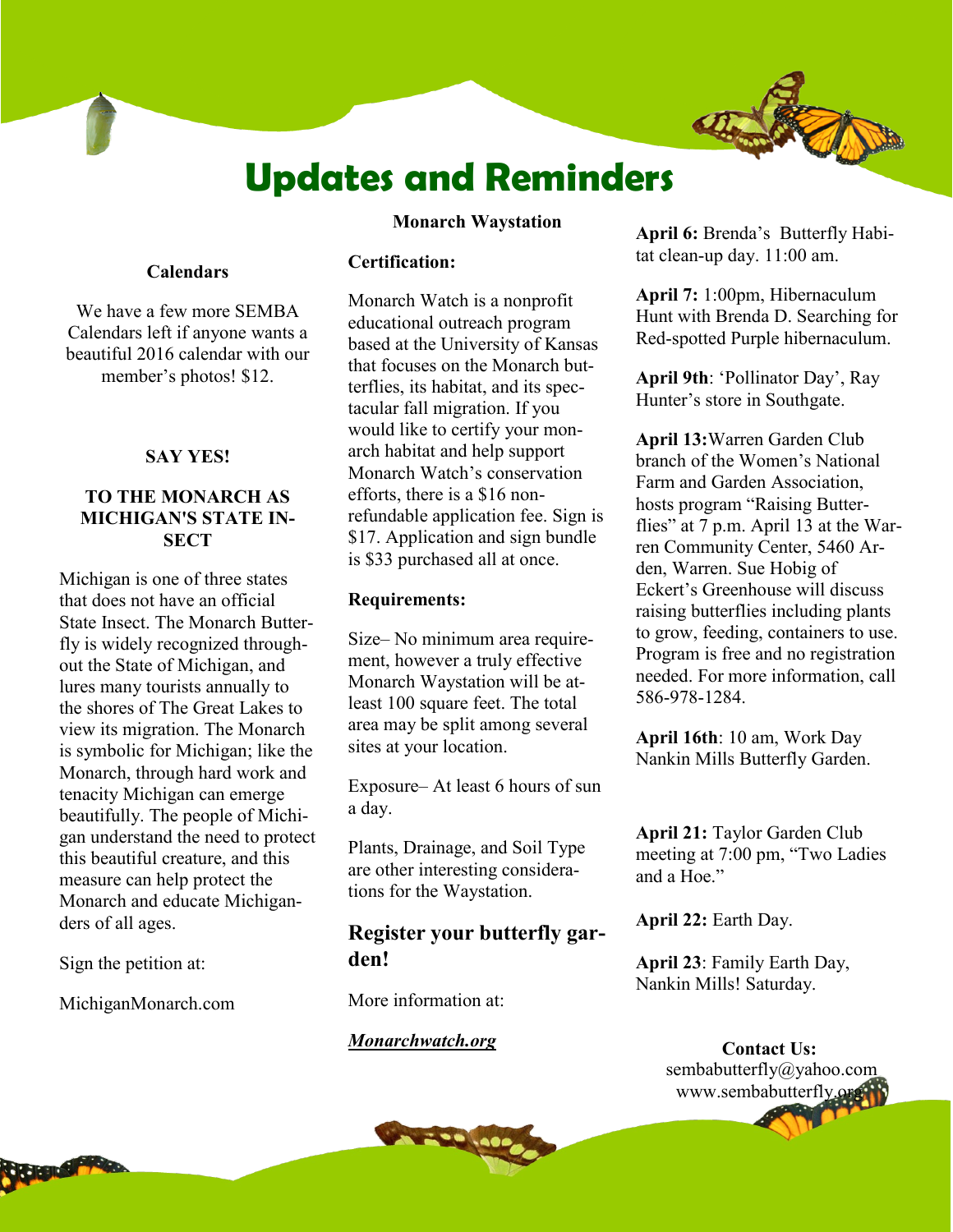# **Updates and Reminders**

#### **Monarch Waystation**

#### **Calendars**

We have a few more SEMBA Calendars left if anyone wants a beautiful 2016 calendar with our member's photos! \$12.

#### **SAY YES!**

#### **TO THE MONARCH AS MICHIGAN'S STATE IN-SECT**

Michigan is one of three states that does not have an official State Insect. The Monarch Butterfly is widely recognized throughout the State of Michigan, and lures many tourists annually to the shores of The Great Lakes to view its migration. The Monarch is symbolic for Michigan; like the Monarch, through hard work and tenacity Michigan can emerge beautifully. The people of Michigan understand the need to protect this beautiful creature, and this measure can help protect the Monarch and educate Michiganders of all ages.

Sign the petition at:

MichiganMonarch.com

#### **Certification:**

Monarch Watch is a nonprofit educational outreach program based at the University of Kansas that focuses on the Monarch butterflies, its habitat, and its spectacular fall migration. If you would like to certify your monarch habitat and help support Monarch Watch's conservation efforts, there is a \$16 nonrefundable application fee. Sign is \$17. Application and sign bundle is \$33 purchased all at once.

#### **Requirements:**

Size– No minimum area requirement, however a truly effective Monarch Waystation will be atleast 100 square feet. The total area may be split among several sites at your location.

Exposure– At least 6 hours of sun a day.

Plants, Drainage, and Soil Type are other interesting considerations for the Waystation.

#### **Register your butterfly garden!**

More information at:

#### *Monarchwatch.org*

**April 6:** Brenda's Butterfly Habitat clean-up day. 11:00 am.

**April 7:** 1:00pm, Hibernaculum Hunt with Brenda D. Searching for Red-spotted Purple hibernaculum.

**April 9th**: 'Pollinator Day', Ray Hunter's store in Southgate.

**April 13:**Warren Garden Club branch of the Women's National Farm and Garden Association, hosts program "Raising Butterflies" at 7 p.m. April 13 at the Warren Community Center, 5460 Arden, Warren. Sue Hobig of Eckert's Greenhouse will discuss raising butterflies including plants to grow, feeding, containers to use. Program is free and no registration needed. For more information, call 586-978-1284.

**April 16th**: 10 am, Work Day Nankin Mills Butterfly Garden.

**April 21:** Taylor Garden Club meeting at 7:00 pm, "Two Ladies and a Hoe."

**April 22:** Earth Day.

**April 23**: Family Earth Day, Nankin Mills! Saturday.